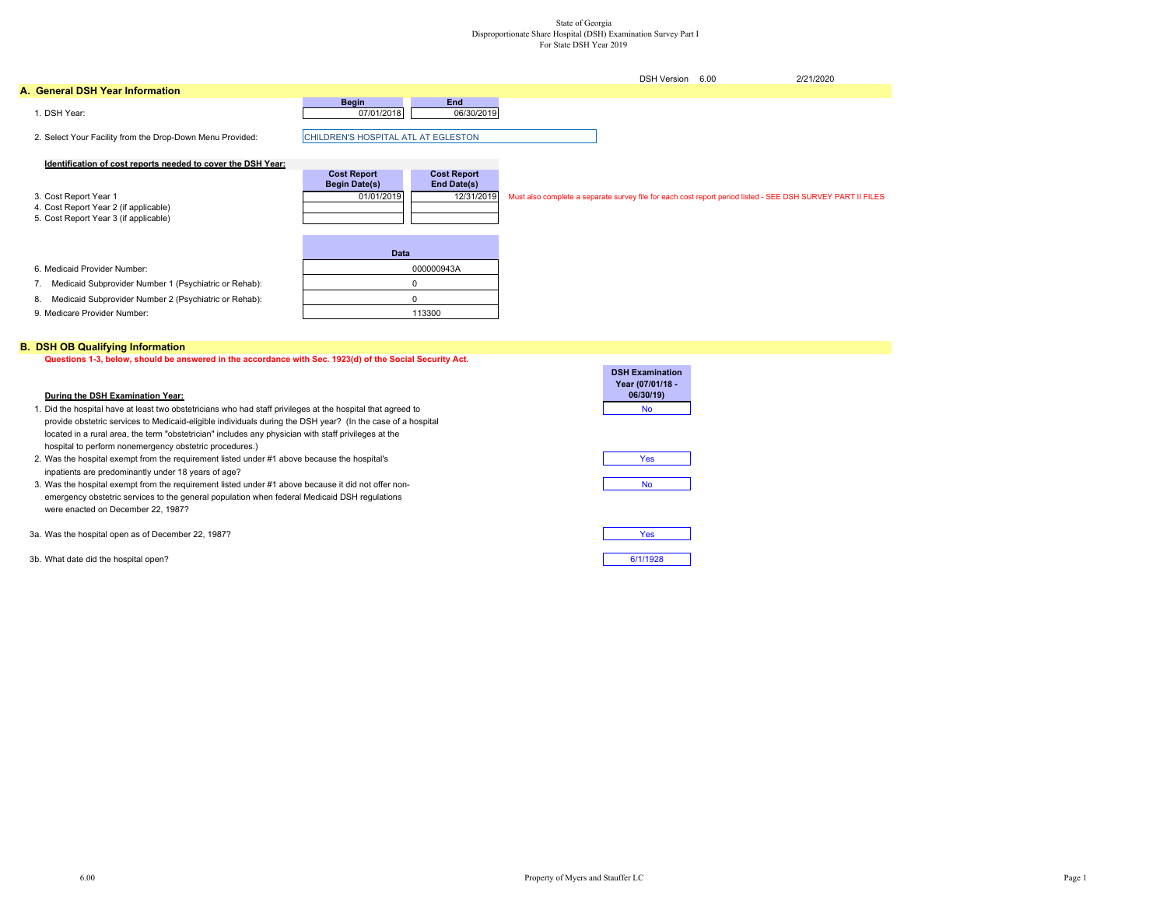## State of Georgia Disproportionate Share Hospital (DSH) Examination Survey Part I For State DSH Year 2019

|                                                                                                         |                                                          |                                                 | <b>DSH Version</b> | 6.00 | 2/21/2020                                                                                                   |
|---------------------------------------------------------------------------------------------------------|----------------------------------------------------------|-------------------------------------------------|--------------------|------|-------------------------------------------------------------------------------------------------------------|
| A. General DSH Year Information                                                                         |                                                          |                                                 |                    |      |                                                                                                             |
| 1. DSH Year:                                                                                            | <b>Begin</b><br>07/01/2018                               | <b>End</b><br>06/30/2019                        |                    |      |                                                                                                             |
| 2. Select Your Facility from the Drop-Down Menu Provided:                                               | CHILDREN'S HOSPITAL ATL AT EGLESTON                      |                                                 |                    |      |                                                                                                             |
| Identification of cost reports needed to cover the DSH Year:                                            |                                                          |                                                 |                    |      |                                                                                                             |
| 3. Cost Report Year 1<br>4. Cost Report Year 2 (if applicable)<br>5. Cost Report Year 3 (if applicable) | <b>Cost Report</b><br><b>Begin Date(s)</b><br>01/01/2019 | <b>Cost Report</b><br>End Date(s)<br>12/31/2019 |                    |      | Must also complete a separate survey file for each cost report period listed - SEE DSH SURVEY PART II FILES |
|                                                                                                         | <b>Data</b>                                              |                                                 |                    |      |                                                                                                             |
| 6. Medicaid Provider Number:                                                                            |                                                          | 000000943A                                      |                    |      |                                                                                                             |
| Medicaid Subprovider Number 1 (Psychiatric or Rehab):<br>7.                                             |                                                          |                                                 |                    |      |                                                                                                             |
| Medicaid Subprovider Number 2 (Psychiatric or Rehab):<br>8.                                             |                                                          | $\Omega$                                        |                    |      |                                                                                                             |
| 9. Medicare Provider Number:                                                                            |                                                          | 113300                                          |                    |      |                                                                                                             |

### **B. DSH OB Qualifying Information**

**Questions 1-3, below, should be answered in the accordance with Sec. 1923(d) of the Social Security Act.**

#### **During the DSH Examination Year:**

| 1. Did the hospital have at least two obstetricians who had staff privileges at the hospital that agreed to | No |
|-------------------------------------------------------------------------------------------------------------|----|
| provide obstetric services to Medicaid-eligible individuals during the DSH vear? (In the case of a hospital |    |
| located in a rural area, the term "obstetrician" includes any physician with staff privileges at the        |    |
| hospital to perform nonemergency obstetric procedures.)                                                     |    |

- 2. Was the hospital exempt from the requirement listed under #1 above because the hospital's inpatients are predominantly under 18 years of age?
- 3. Was the hospital exempt from the requirement listed under #1 above because it did not offer nonemergency obstetric services to the general population when federal Medicaid DSH regulations were enacted on December 22, 1987?
- 3a. Was the hospital open as of December 22, 1987?
- 3b. What date did the hospital open? 6/1/1928

| <b>DSH Examination</b><br>Year (07/01/18 - |
|--------------------------------------------|
| 06/30/19)                                  |
| N٥                                         |

| Yes       |  |
|-----------|--|
|           |  |
| <b>No</b> |  |

| Yes |  |
|-----|--|
|     |  |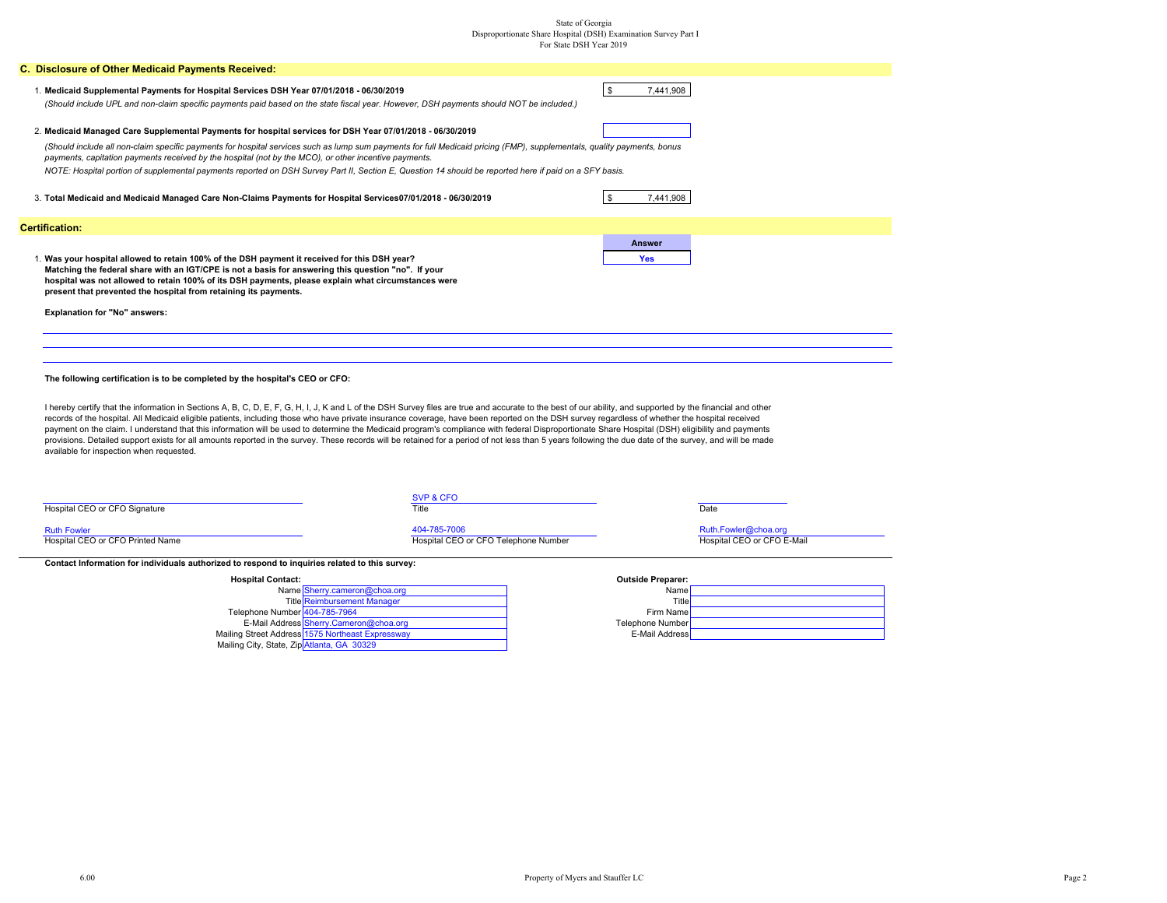# State of Georgia Disproportionate Share Hospital (DSH) Examination Survey Part I For State DSH Year 2019

| C. Disclosure of Other Medicaid Payments Received:                                                                                                                                                                                                                                                          |                                                                                                                                                                                                                                                                                                                                                                                                                                                                                                                                                                                                                                                                                                                                                                                                                             |                                                    |
|-------------------------------------------------------------------------------------------------------------------------------------------------------------------------------------------------------------------------------------------------------------------------------------------------------------|-----------------------------------------------------------------------------------------------------------------------------------------------------------------------------------------------------------------------------------------------------------------------------------------------------------------------------------------------------------------------------------------------------------------------------------------------------------------------------------------------------------------------------------------------------------------------------------------------------------------------------------------------------------------------------------------------------------------------------------------------------------------------------------------------------------------------------|----------------------------------------------------|
| 1. Medicaid Supplemental Payments for Hospital Services DSH Year 07/01/2018 - 06/30/2019                                                                                                                                                                                                                    | (Should include UPL and non-claim specific payments paid based on the state fiscal year. However, DSH payments should NOT be included.)                                                                                                                                                                                                                                                                                                                                                                                                                                                                                                                                                                                                                                                                                     | $\mathsf{\$}$<br>7,441,908                         |
| 2. Medicaid Managed Care Supplemental Payments for hospital services for DSH Year 07/01/2018 - 06/30/2019                                                                                                                                                                                                   |                                                                                                                                                                                                                                                                                                                                                                                                                                                                                                                                                                                                                                                                                                                                                                                                                             |                                                    |
| (Should include all non-claim specific payments for hospital services such as lump sum payments for full Medicaid pricing (FMP), supplementals, quality payments, bonus<br>payments, capitation payments received by the hospital (not by the MCO), or other incentive payments.                            |                                                                                                                                                                                                                                                                                                                                                                                                                                                                                                                                                                                                                                                                                                                                                                                                                             |                                                    |
|                                                                                                                                                                                                                                                                                                             | NOTE: Hospital portion of supplemental payments reported on DSH Survey Part II, Section E, Question 14 should be reported here if paid on a SFY basis.                                                                                                                                                                                                                                                                                                                                                                                                                                                                                                                                                                                                                                                                      |                                                    |
| 3. Total Medicaid and Medicaid Managed Care Non-Claims Payments for Hospital Services07/01/2018 - 06/30/2019                                                                                                                                                                                                |                                                                                                                                                                                                                                                                                                                                                                                                                                                                                                                                                                                                                                                                                                                                                                                                                             | \$<br>7,441,908                                    |
| <b>Certification:</b>                                                                                                                                                                                                                                                                                       |                                                                                                                                                                                                                                                                                                                                                                                                                                                                                                                                                                                                                                                                                                                                                                                                                             |                                                    |
| 1. Was your hospital allowed to retain 100% of the DSH payment it received for this DSH year?<br>Matching the federal share with an IGT/CPE is not a basis for answering this question "no". If your<br>hospital was not allowed to retain 100% of its DSH payments, please explain what circumstances were |                                                                                                                                                                                                                                                                                                                                                                                                                                                                                                                                                                                                                                                                                                                                                                                                                             | <b>Answer</b><br><b>Yes</b>                        |
| present that prevented the hospital from retaining its payments.                                                                                                                                                                                                                                            |                                                                                                                                                                                                                                                                                                                                                                                                                                                                                                                                                                                                                                                                                                                                                                                                                             |                                                    |
| <b>Explanation for "No" answers:</b>                                                                                                                                                                                                                                                                        |                                                                                                                                                                                                                                                                                                                                                                                                                                                                                                                                                                                                                                                                                                                                                                                                                             |                                                    |
|                                                                                                                                                                                                                                                                                                             |                                                                                                                                                                                                                                                                                                                                                                                                                                                                                                                                                                                                                                                                                                                                                                                                                             |                                                    |
|                                                                                                                                                                                                                                                                                                             |                                                                                                                                                                                                                                                                                                                                                                                                                                                                                                                                                                                                                                                                                                                                                                                                                             |                                                    |
| The following certification is to be completed by the hospital's CEO or CFO:                                                                                                                                                                                                                                |                                                                                                                                                                                                                                                                                                                                                                                                                                                                                                                                                                                                                                                                                                                                                                                                                             |                                                    |
| available for inspection when requested.                                                                                                                                                                                                                                                                    | I hereby certify that the information in Sections A, B, C, D, E, F, G, H, I, J, K and L of the DSH Survey files are true and accurate to the best of our ability, and supported by the financial and other<br>records of the hospital. All Medicaid eligible patients, including those who have private insurance coverage, have been reported on the DSH survey regardless of whether the hospital received<br>payment on the claim. I understand that this information will be used to determine the Medicaid program's compliance with federal Disproportionate Share Hospital (DSH) eligibility and payments<br>provisions. Detailed support exists for all amounts reported in the survey. These records will be retained for a period of not less than 5 years following the due date of the survey, and will be made |                                                    |
|                                                                                                                                                                                                                                                                                                             | SVP & CFO                                                                                                                                                                                                                                                                                                                                                                                                                                                                                                                                                                                                                                                                                                                                                                                                                   |                                                    |
| Hospital CEO or CFO Signature                                                                                                                                                                                                                                                                               | Title                                                                                                                                                                                                                                                                                                                                                                                                                                                                                                                                                                                                                                                                                                                                                                                                                       | Date                                               |
| <b>Ruth Fowler</b><br>Hospital CEO or CFO Printed Name                                                                                                                                                                                                                                                      | 404-785-7006<br>Hospital CEO or CFO Telephone Number                                                                                                                                                                                                                                                                                                                                                                                                                                                                                                                                                                                                                                                                                                                                                                        | Ruth.Fowler@choa.org<br>Hospital CEO or CFO E-Mail |
| Contact Information for individuals authorized to respond to inquiries related to this survey:                                                                                                                                                                                                              |                                                                                                                                                                                                                                                                                                                                                                                                                                                                                                                                                                                                                                                                                                                                                                                                                             |                                                    |
| <b>Hospital Contact:</b>                                                                                                                                                                                                                                                                                    |                                                                                                                                                                                                                                                                                                                                                                                                                                                                                                                                                                                                                                                                                                                                                                                                                             | <b>Outside Preparer:</b>                           |
|                                                                                                                                                                                                                                                                                                             | Name Sherry.cameron@choa.org                                                                                                                                                                                                                                                                                                                                                                                                                                                                                                                                                                                                                                                                                                                                                                                                | Name                                               |
|                                                                                                                                                                                                                                                                                                             | <b>Title Reimbursement Manager</b>                                                                                                                                                                                                                                                                                                                                                                                                                                                                                                                                                                                                                                                                                                                                                                                          | Title                                              |

Name Sherry.cameron@choa.org<br>Title Reimbursement Manager<br>Telephone Number <del>404-785-7964</del><br>E-Mail Address Sherry.Cameron@choa.org<br>Telephone Number Mailing Street Address E-Mail Address Mailing City, State, Zip Atlanta, GA 30329 1575 Northeast Expressway

| Firm Name        |
|------------------|
| Telephone Number |
| E-Mail Address   |
|                  |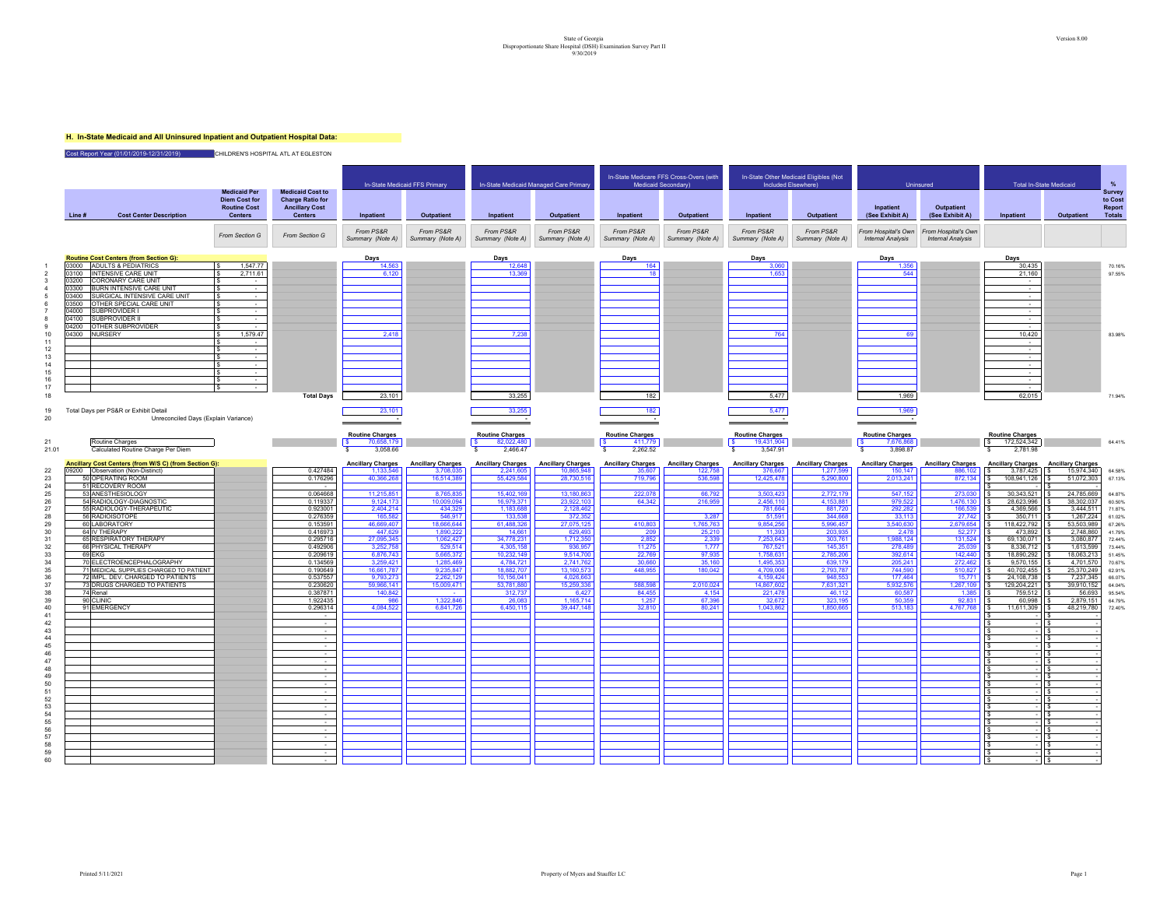# State of Georgia Version 8.00<br>Disproportionate Share Hospital (OSH) Examination Survey Part II<br>9/30/2019

### **H. In-State Medicaid and All Uninsured Inpatient and Outpatient Hospital Data:**

Cost Report Year (01/01/2019-12/31/2019) **CHILDREN'S HOSPITAL ATL AT EGLESTON** 

|              |                |                                                                   | <b>Medicaid Per</b><br><b>Medicaid Cost to</b>                |                                                                    |                               | In-State Medicaid FFS Primary |                                    | In-State Medicaid Managed Care Primary |                               | In-State Medicare FFS Cross-Overs (with<br>Medicaid Secondary) |                               | In-State Other Medicaid Eligibles (Not<br>Included Elsewhere) |                                                 | <b>Uninsured</b>                                | Total In-State Medicaid   |                              | %                                                   |
|--------------|----------------|-------------------------------------------------------------------|---------------------------------------------------------------|--------------------------------------------------------------------|-------------------------------|-------------------------------|------------------------------------|----------------------------------------|-------------------------------|----------------------------------------------------------------|-------------------------------|---------------------------------------------------------------|-------------------------------------------------|-------------------------------------------------|---------------------------|------------------------------|-----------------------------------------------------|
|              | Line#          | <b>Cost Center Description</b>                                    | <b>Diem Cost for</b><br><b>Routine Cost</b><br><b>Centers</b> | <b>Charge Ratio for</b><br><b>Ancillary Cost</b><br><b>Centers</b> | Inpatient                     | Outpatient                    | Inpatient                          | Outpatient                             | Inpatient                     | Outpatient                                                     | Inpatient                     | Outpatient                                                    | Inpatient<br>(See Exhibit A)                    | Outpatient<br>(See Exhibit A)                   | Inpatient                 | Outpatient                   | Survey<br>to Cost<br><b>Report</b><br><b>Totals</b> |
|              |                |                                                                   | From Section G                                                | From Section G                                                     | From PS&R<br>Summary (Note A) | From PS&R<br>Summary (Note A) | From PS&R<br>Summary (Note A)      | From PS&R<br>Summary (Note A)          | From PS&R<br>Summary (Note A) | From PS&R<br>Summary (Note A)                                  | From PS&R<br>Summary (Note A) | From PS&R<br>Summary (Note A)                                 | From Hospital's Own<br><b>Internal Analysis</b> | From Hospital's Own<br><b>Internal Analysis</b> |                           |                              |                                                     |
|              |                | <b>Routine Cost Centers (from Section G):</b>                     |                                                               |                                                                    | Days                          |                               | Days                               |                                        | Days                          |                                                                | Days                          |                                                               | Days                                            |                                                 | Days                      |                              |                                                     |
|              |                | 03000 ADULTS & PEDIATRICS                                         | 1,547.77                                                      |                                                                    | 14.563                        |                               | 12,648                             |                                        | 164                           |                                                                | 3,060                         |                                                               | 1.356                                           |                                                 | 30,435                    |                              | 70.16%                                              |
|              |                | 03100 INTENSIVE CARE UNIT<br>03200 CORONARY CARE UNIT             | 2,711.61<br>$\sim$ 100 $\pm$                                  |                                                                    | 6,120                         |                               | 13,369                             |                                        | 18                            |                                                                | 1,653                         |                                                               | 544                                             |                                                 | 21,160<br>$\sim$          |                              | 97.55%                                              |
|              |                | 03300 BURN INTENSIVE CARE UNIT                                    | $\sim$                                                        |                                                                    |                               |                               |                                    |                                        |                               |                                                                |                               |                                                               |                                                 |                                                 | $\sim$                    |                              |                                                     |
|              | 03400<br>03500 | SURGICAL INTENSIVE CARE UNIT<br>OTHER SPECIAL CARE UNIT           | $\sim$                                                        |                                                                    |                               |                               |                                    |                                        |                               |                                                                |                               |                                                               |                                                 |                                                 | $\sim$<br>$\sim$          |                              |                                                     |
|              | 04000          | SUBPROVIDER I                                                     | $\sim$                                                        |                                                                    |                               |                               |                                    |                                        |                               |                                                                |                               |                                                               |                                                 |                                                 | $\sim$                    |                              |                                                     |
|              | 04100<br>04200 | <b>SUBPROVIDER II</b><br><b>OTHER SUBPROVIDER</b>                 | $\sim$                                                        |                                                                    |                               |                               |                                    |                                        |                               |                                                                |                               |                                                               |                                                 |                                                 | $\sim$                    |                              |                                                     |
| 10           | 04300          | <b>NURSERY</b>                                                    | 1,579.47                                                      |                                                                    | 2,418                         |                               | 7,238                              |                                        |                               |                                                                | 764                           |                                                               | 69                                              |                                                 | 10,420                    |                              | 83.98%                                              |
| 11<br>12     |                |                                                                   |                                                               |                                                                    |                               |                               |                                    |                                        |                               |                                                                |                               |                                                               |                                                 |                                                 | $\sim$<br>$\sim$          |                              |                                                     |
| 13           |                |                                                                   | $\sim$                                                        |                                                                    |                               |                               |                                    |                                        |                               |                                                                |                               |                                                               |                                                 |                                                 | $\sim$                    |                              |                                                     |
| 14           |                |                                                                   | $\sim$                                                        |                                                                    |                               |                               |                                    |                                        |                               |                                                                |                               |                                                               |                                                 |                                                 | $\sim$                    |                              |                                                     |
| 15<br>16     |                |                                                                   |                                                               |                                                                    |                               |                               |                                    |                                        |                               |                                                                |                               |                                                               |                                                 |                                                 | $\sim$                    |                              |                                                     |
| 17           |                |                                                                   |                                                               |                                                                    |                               |                               |                                    |                                        |                               |                                                                |                               |                                                               |                                                 |                                                 | $\sim$                    |                              |                                                     |
| 18           |                |                                                                   |                                                               | <b>Total Days</b>                                                  | 23,101                        |                               | 33,255                             |                                        | 182                           |                                                                | 5,477                         |                                                               | 1,969                                           |                                                 | 62,015                    |                              | 71.94%                                              |
| 19           |                | Total Days per PS&R or Exhibit Detail                             |                                                               |                                                                    | 23.101                        |                               | 33.255                             |                                        | 182                           |                                                                | 5.477                         |                                                               | 1.969                                           |                                                 |                           |                              |                                                     |
| 20           |                | Unreconciled Days (Explain Variance)                              |                                                               |                                                                    |                               |                               |                                    |                                        |                               |                                                                |                               |                                                               |                                                 |                                                 |                           |                              |                                                     |
|              |                |                                                                   |                                                               |                                                                    | <b>Routine Charges</b>        |                               | <b>Routine Charges</b>             |                                        | <b>Routine Charges</b>        |                                                                | <b>Routine Charges</b>        |                                                               | <b>Routine Charges</b>                          |                                                 | <b>Routine Charges</b>    |                              |                                                     |
| 21<br>21.01  |                | Routine Charges<br>Calculated Routine Charge Per Diem             |                                                               |                                                                    | 70,658,179<br>3.058.66<br>-S  |                               | <b>S</b><br>82,022,480<br>2.466.47 |                                        | 411,779<br>2.262.52           |                                                                | 19,431,904<br>-S.<br>3.547.91 |                                                               | 7,676,868<br>3 898 87                           |                                                 | 172,524,342<br>2 781 98   |                              | 64.41%                                              |
|              |                | Ancillary Cost Centers (from W/S C) (from Section G):             |                                                               |                                                                    | <b>Ancillary Charges</b>      | <b>Ancillary Charges</b>      | <b>Ancillary Charges</b>           | <b>Ancillary Charges</b>               | <b>Ancillary Charges</b>      | <b>Ancillary Charges</b>                                       | <b>Ancillary Charges</b>      | <b>Ancillary Charges</b>                                      | <b>Ancillary Charges</b>                        | <b>Ancillary Charges</b>                        | <b>Ancillary Charges</b>  | <b>Ancillary Charges</b>     |                                                     |
| 22           |                | 09200 Observation (Non-Distinct)                                  |                                                               | 0.427484                                                           | 1.133,546                     | 3,708,035                     | 2,241,605                          | 10,865,948                             | 35,607                        | 122,758                                                        | 376,667                       | 1,277,599                                                     | 150,147                                         | 886.102                                         | 3,787,425                 | 15,974,340                   | 64.58%                                              |
| 23<br>24     |                | 50 OPERATING ROOM<br>51 RECOVERY ROOM                             |                                                               | 0.176296                                                           | 40,366,268                    | 16,514,389                    | 55,429,584                         | 28,730,516                             | 719,796                       | 536,598                                                        | 12,425,478                    | 5,290,800                                                     | 2,013,241                                       | 872,134                                         | 108,941,126               | 51,072,303                   | 67.13%                                              |
| $25\,$       |                | 53 ANESTHESIOLOGY                                                 |                                                               | 0.064668                                                           | 11.215.851                    | 8.765.835                     | 15,402.169                         | 13.180.863                             | 222.078                       | 66.792                                                         | 3.503.423                     | 2,772,179                                                     | 547.152                                         | 273,030                                         | 30.343.521                | 24.785.669                   | 64.87%                                              |
| 26           |                | 54 RADIOLOGY-DIAGNOSTIC                                           |                                                               | 0.119337                                                           | 9,124,173                     | 10,009,094                    | 16,979,371                         | 23,922,103                             | 64,342                        | 216,959                                                        | 2,456,110                     | 4,153,881                                                     | 979,522                                         | 1,476,130                                       | 28,623,996                | 38,302,037                   | 60.50%                                              |
| 27<br>28     |                | 55 RADIOLOGY-THERAPEUTIC<br>56 RADIOISOTOPE                       |                                                               | 0.923001<br>0.276359                                               | 2,404,214<br>165,582          | 434,329<br>546,917            | 1,183,688<br>133,538               | 2,128,462<br>372,352                   |                               | 3.287                                                          | 781,664<br>51,591             | 881,720<br>344,668                                            | 292,282<br>33,113                               | 166,539<br>27,742                               | 4,369,566<br>350,711      | 3,444,511<br>1,267,224       | 71.87%<br>61.02%                                    |
| 29           |                | 60 LABORATORY                                                     |                                                               | 0.153591                                                           | 46.669.407                    | 18.666.644                    | 61.488.326                         | 27.075.125                             | 410.803                       | 1.765.763                                                      | 9.854.256                     | 5.996.457                                                     | 3.540.630                                       | 2.679.654                                       | 118,422,792               | 53,503,989<br>s              | 67.26%                                              |
| 30<br>31     |                | 64 IV THERAPY<br>65 RESPIRATORY THERAPY                           |                                                               | 0.416973<br>0.295716                                               | 447.629<br>27,095,345         | 1.890.222<br>1,062,427        | 14.661<br>34,778,231               | 629.493<br>1,712,350                   | 209<br>2,852                  | 25,210<br>2,339                                                | 11.393<br>7,253,643           | 203.935<br>303,761                                            | 2.478<br>1,988,124                              | 52,277<br>131,524                               | 473.892<br>69,130,071     | 2.748.860<br>3,080,877       | 41.79%<br>72.44%                                    |
| 32           |                | 66 PHYSICAL THERAPY                                               |                                                               | 0.492906                                                           | 3,252,758                     | 529,514                       | 4,305,158                          | 936,957                                | 11,275                        | 1,777                                                          | 767,521                       | 145,351                                                       | 278,489                                         | 25,039                                          | 8,336,712                 | 1,613,599                    | 73.44%                                              |
| $33\,$<br>34 | 69 EKG         | 70 ELECTROENCEPHALOGRAPHY                                         |                                                               | 0.209619<br>0.134569                                               | 6,876,743<br>3.259.421        | 5,665,372<br>1.285.469        | 10,232,149<br>4.784.721            | 9.514.700<br>2.741.762                 | 22,769<br>30.660              | 97,935<br>35.160                                               | 1,758,631<br>1.495.353        | 2,785,206<br>639.179                                          | 392,614<br>205.241                              | 142,440<br>272,462                              | 18,890,292<br>9.570.155   | 18,063,213<br>4.701.570      | 51 45%<br>70.67%                                    |
| 35           |                | 71 MEDICAL SUPPLIES CHARGED TO PATIENT                            |                                                               | 0.190649                                                           | 16,661,787                    | 9,235,847                     | 18,882,707                         | 13,160,573                             | 448,955                       | 180,042                                                        | 4,709,006                     | 2,793,787                                                     | 744,590                                         | 510,827                                         | 40,702,455                | 25,370,249                   | 62.91%                                              |
| 36<br>37     |                | 72 IMPL. DEV. CHARGED TO PATIENTS<br>73 DRUGS CHARGED TO PATIENTS |                                                               | 0.537557<br>0.230620                                               | 9,793,273<br>59 966 141       | 2,262,129<br>15,009,471       | 10.156.041<br>53,781,880           | 4,026,663<br>15,259,336                | 588,598                       | 2.010.024                                                      | 4.159.424<br>14,867,602       | 948,553<br>7,631,321                                          | 177,464<br>5.932.576                            | 15,771<br>1,267,109                             | 24,108,738<br>129,204,221 | 7,237,345<br>39,910,152<br>s | 66.07%<br>64.04%                                    |
| 38           | 74 Renal       |                                                                   |                                                               | 0.387871                                                           | 140.842                       |                               | 312,737                            | 6.427                                  | 84,455                        | 4.154                                                          | 221,478                       | 46.112                                                        | 60.587                                          | 1.385                                           | 759,512                   | 56,693<br>s.                 | 95.54%                                              |
| 39<br>40     | 90 CLINIC      | 91 EMERGENCY                                                      |                                                               | 1.922435<br>0.296314                                               | QR6<br>4,084,522              | 1.322.846<br>6,841,726        | 26,083<br>6,450,115                | 1.165.714<br>39,447,148                | 1.257<br>32,810               | 67,396<br>80,241                                               | 32.672<br>1,043,862           | 323.195<br>1,850,665                                          | 50.359<br>513,183                               | 92.831<br>4,767,768                             | 60.998<br>11,611,309      | 2.879.151<br>48,219,780      | 64 79%<br>72.40%                                    |
| 41           |                |                                                                   |                                                               | $\sim$                                                             |                               |                               |                                    |                                        |                               |                                                                |                               |                                                               |                                                 |                                                 |                           |                              |                                                     |
| 42<br>43     |                |                                                                   |                                                               | $\sim$<br>$\sim$                                                   |                               |                               |                                    |                                        |                               |                                                                |                               |                                                               |                                                 |                                                 |                           | -S                           |                                                     |
| 44           |                |                                                                   |                                                               | $\sim$                                                             |                               |                               |                                    |                                        |                               |                                                                |                               |                                                               |                                                 |                                                 |                           | s                            |                                                     |
| 45<br>46     |                |                                                                   |                                                               |                                                                    |                               |                               |                                    |                                        |                               |                                                                |                               |                                                               |                                                 |                                                 |                           | \$.                          |                                                     |
| 47           |                |                                                                   |                                                               | $\sim$<br>$\sim$                                                   |                               |                               |                                    |                                        |                               |                                                                |                               |                                                               |                                                 |                                                 |                           | s.                           |                                                     |
| 48           |                |                                                                   |                                                               | $\sim$                                                             |                               |                               |                                    |                                        |                               |                                                                |                               |                                                               |                                                 |                                                 |                           | s                            |                                                     |
| 49<br>50     |                |                                                                   |                                                               | $\sim$                                                             |                               |                               |                                    |                                        |                               |                                                                |                               |                                                               |                                                 |                                                 |                           | \$.<br>s                     |                                                     |
| 51           |                |                                                                   |                                                               | $\sim$                                                             |                               |                               |                                    |                                        |                               |                                                                |                               |                                                               |                                                 |                                                 |                           | s                            |                                                     |
| 52<br>53     |                |                                                                   |                                                               | $\sim$<br>$\sim$                                                   |                               |                               |                                    |                                        |                               |                                                                |                               |                                                               |                                                 |                                                 |                           | -S<br>s                      |                                                     |
| 54           |                |                                                                   |                                                               | $\sim$                                                             |                               |                               |                                    |                                        |                               |                                                                |                               |                                                               |                                                 |                                                 |                           |                              |                                                     |
| 55<br>56     |                |                                                                   |                                                               | $\sim$                                                             |                               |                               |                                    |                                        |                               |                                                                |                               |                                                               |                                                 |                                                 |                           | s.                           |                                                     |
| 57           |                |                                                                   |                                                               | $\sim$                                                             |                               |                               |                                    |                                        |                               |                                                                |                               |                                                               |                                                 |                                                 |                           | <b>s</b>                     |                                                     |
| 58<br>59     |                |                                                                   |                                                               | $\sim$                                                             |                               |                               |                                    |                                        |                               |                                                                |                               |                                                               |                                                 |                                                 | s.                        | s.<br>s                      |                                                     |
| 60           |                |                                                                   |                                                               |                                                                    |                               |                               |                                    |                                        |                               |                                                                |                               |                                                               |                                                 |                                                 |                           | s                            |                                                     |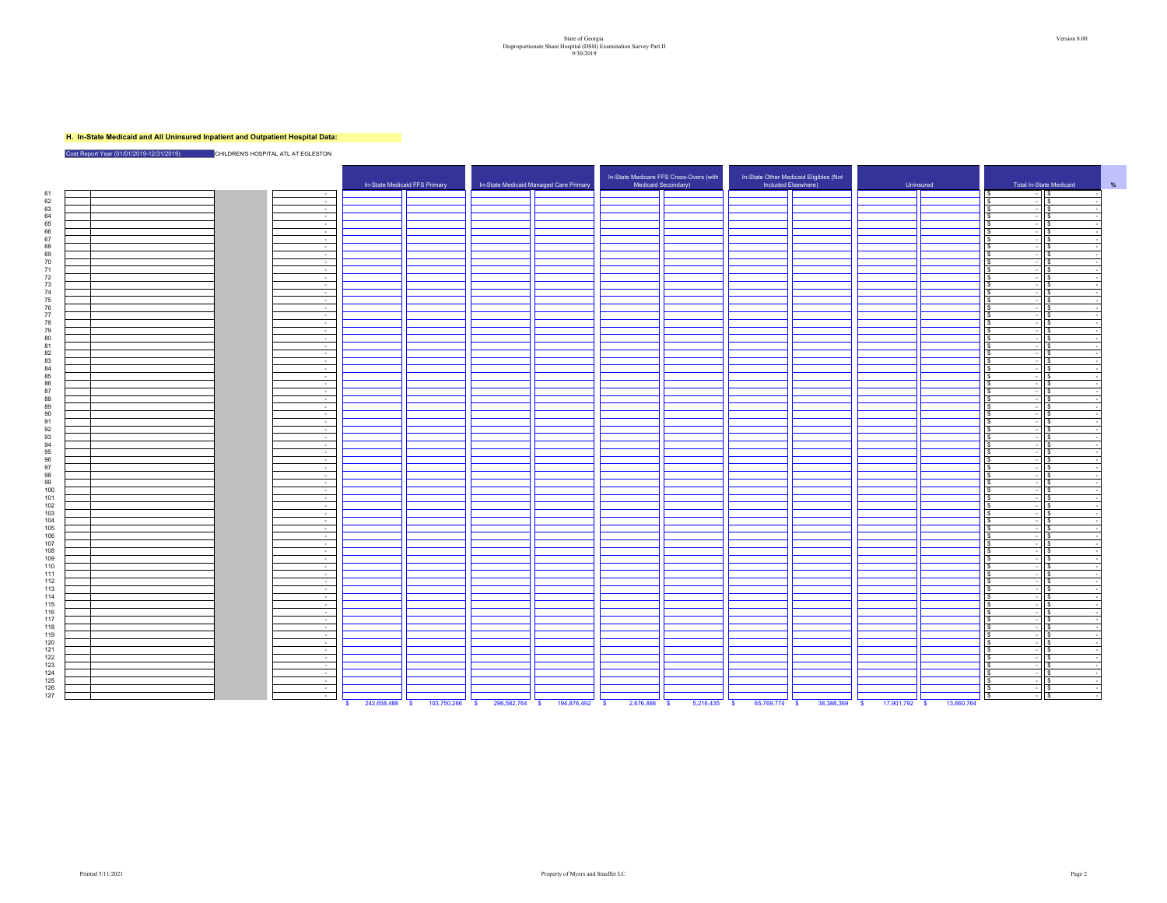# State of Georgia Version 8.00<br>Disproportionate Share Hospital (OSH) Examination Survey Part II<br>9/30/2019

### **H. In-State Medicaid and All Uninsured Inpatient and Outpatient Hospital Data:**

Cost Report Year (01/01/2019-12/31/2019) **CHILDREN'S HOSPITAL ATL AT EGLESTON** 

|                                                               | In-State Medicaid FFS Primary | In-State Medicaid Managed Care Primary | In-State Medicare FFS Cross-Overs (with<br>Medicaid Secondary) | In-State Other Medicaid Eligibles (Not<br>Included Elsewhere) | Uninsured | Total In-State Medicaid                                              |  |
|---------------------------------------------------------------|-------------------------------|----------------------------------------|----------------------------------------------------------------|---------------------------------------------------------------|-----------|----------------------------------------------------------------------|--|
| 61<br>$\sim$                                                  |                               |                                        |                                                                |                                                               |           | - 15<br>I S                                                          |  |
| $\begin{array}{c} 62 \\ 63 \end{array}$<br>$\sim$             |                               |                                        |                                                                |                                                               |           | $\sqrt{3}$<br><b>S</b>                                               |  |
| $\sim 10^{-1}$                                                |                               |                                        |                                                                |                                                               |           | <b>S</b><br>l S<br>$\sim$                                            |  |
| 64<br>$\sim$                                                  |                               |                                        |                                                                |                                                               |           | $\sim$<br>-S                                                         |  |
| $\sim$ $-$<br>$\sim 10^{-1}$                                  |                               |                                        |                                                                |                                                               |           | $\overline{a}$<br>IS<br>IS.<br>$\sim$<br>-S<br>l S                   |  |
| 65<br>66<br>67<br>68<br>69<br>70<br>$\sim$                    |                               |                                        |                                                                |                                                               |           | l S<br>l s                                                           |  |
| $\sim$ 10 $\sim$                                              |                               |                                        |                                                                |                                                               |           | ١s                                                                   |  |
| $\sim 10^{-1}$                                                |                               |                                        |                                                                |                                                               |           | ١s<br>$\sim$                                                         |  |
| $\sim$                                                        |                               |                                        |                                                                |                                                               |           | $\sqrt{s}$<br>l S<br>$\overline{a}$                                  |  |
| 71<br>$\sim$                                                  |                               |                                        |                                                                |                                                               |           | $\overline{\phantom{a}}$<br>١s                                       |  |
| $\frac{72}{73}$<br>$\sim$                                     |                               |                                        |                                                                |                                                               |           | <b>s</b>                                                             |  |
| $\sim$                                                        |                               |                                        |                                                                |                                                               |           | <b>s</b><br>$\overline{\phantom{a}}$                                 |  |
| 74<br>$\sim 10^{-11}$                                         |                               |                                        |                                                                |                                                               |           | l S<br>$\overline{a}$<br>١s                                          |  |
| 75<br>$\sim 10^{-11}$                                         |                               |                                        |                                                                |                                                               |           | $\overline{a}$                                                       |  |
| $\sim$                                                        |                               |                                        |                                                                |                                                               |           | ÷<br>l s<br>- S                                                      |  |
| $\sim$                                                        |                               |                                        |                                                                |                                                               |           | l \$<br>$\sqrt{ }$                                                   |  |
| $76$<br>$77$<br>$78$<br>$\sim 10^{-11}$                       |                               |                                        |                                                                |                                                               |           | $-15$<br>l S                                                         |  |
| 79<br>$\sim$                                                  |                               |                                        |                                                                |                                                               |           | $-15$<br>$\hat{\mathbf{x}}$                                          |  |
| 80<br>$\sim$                                                  |                               |                                        |                                                                |                                                               |           | ١s                                                                   |  |
| 81<br>$\sim 10^{-1}$                                          |                               |                                        |                                                                |                                                               |           | $\sqrt{s}$<br>l \$<br>$\sim$                                         |  |
| 82<br>83<br>84<br>85<br>86<br>86<br>$\sim$                    |                               |                                        |                                                                |                                                               |           | l S<br>s.<br>$\overline{\phantom{a}}$                                |  |
| $\left  \varphi \right $                                      |                               |                                        |                                                                |                                                               |           | l s<br>$\mathbf{s}$<br>$\sim$                                        |  |
| $\sim 10^{-1}$                                                |                               |                                        |                                                                |                                                               |           | $\overline{z}$<br><b>IS</b>                                          |  |
| $\sim 10^{-1}$<br>$\sim 10^{-1}$                              |                               |                                        |                                                                |                                                               |           | $-11s$<br>l S<br>$\overline{\phantom{0}}$<br>$\sqrt{s}$<br>l S       |  |
| $\overline{\phantom{a}}$                                      |                               |                                        |                                                                |                                                               |           | l'S<br>$-15$                                                         |  |
| 88<br>$\sim 10^{-11}$                                         |                               |                                        |                                                                |                                                               |           | $ \sqrt{s}$                                                          |  |
| $\sim$                                                        |                               |                                        |                                                                |                                                               |           | ١s<br>l e.<br>$\sim$                                                 |  |
| $\begin{array}{c} 89 \\ 90 \end{array}$<br>$\sim$             |                               |                                        |                                                                |                                                               |           | ls.<br>l S<br>$\overline{a}$                                         |  |
| 91<br>$\sim$                                                  |                               |                                        |                                                                |                                                               |           | <b>S</b><br>s.                                                       |  |
| $\sim 10^{-1}$                                                |                               |                                        |                                                                |                                                               |           |                                                                      |  |
| $\sim$                                                        |                               |                                        |                                                                |                                                               |           | $\sim$                                                               |  |
| 92<br>93<br>94<br>95<br>96<br>97<br>98<br>$\sim$ $-$          |                               |                                        |                                                                |                                                               |           | l S<br>$\overline{z}$<br>l \$                                        |  |
| $\sim 10^{-1}$                                                |                               |                                        |                                                                |                                                               |           | $\overline{a}$<br><b>IS</b><br>s.                                    |  |
| $\sim$                                                        |                               |                                        |                                                                |                                                               |           | l S<br>Is.                                                           |  |
| $\sim$                                                        |                               |                                        |                                                                |                                                               |           | <b>s</b><br>١s                                                       |  |
| $\sim 10^{-11}$                                               |                               |                                        |                                                                |                                                               |           | $-115$<br>$\mathbf{s}$                                               |  |
| 99<br>$\sim$                                                  |                               |                                        |                                                                |                                                               |           | $-$ is<br><b>s</b>                                                   |  |
| 100<br>$\sim$                                                 |                               |                                        |                                                                |                                                               |           | $\mathbf{s}$<br>١s<br>$\sim$                                         |  |
| $\frac{101}{102}$<br>$\sim$                                   |                               |                                        |                                                                |                                                               |           |                                                                      |  |
| $\sim$                                                        |                               |                                        |                                                                |                                                               |           | l s<br>- 55<br>$\sim$                                                |  |
| $\overline{\phantom{a}}$                                      |                               |                                        |                                                                |                                                               |           | l S<br>$\sim$<br>l s                                                 |  |
| 104<br>$\sim 10^{-1}$                                         |                               |                                        |                                                                |                                                               |           | $\overline{a}$<br>$\sqrt{ }$<br>s                                    |  |
| $105$<br>$106$<br>$107$<br>$\sim 10^{-1}$                     |                               |                                        |                                                                |                                                               |           | $-11s$<br>l S                                                        |  |
| $\sim$                                                        |                               |                                        |                                                                |                                                               |           | $\sqrt{ }$<br>$ s$<br>l s                                            |  |
| $\sim 10^{-1}$<br>108                                         |                               |                                        |                                                                |                                                               |           | $-15$                                                                |  |
| $\sim$ $-$<br>109<br>$\sim$                                   |                               |                                        |                                                                |                                                               |           | $\sqrt{s}$<br>l S<br>$\overline{a}$                                  |  |
| 110<br>$\sim$                                                 |                               |                                        |                                                                |                                                               |           | l \$<br>$\sim$<br>l s                                                |  |
| 111<br>$\sim 10^{-1}$                                         |                               |                                        |                                                                |                                                               |           | l S<br>$\mathbf{s}$<br>$\sim$                                        |  |
| 112<br>$\sim$ $-$                                             |                               |                                        |                                                                |                                                               |           | $\sim$<br>١s<br>-S                                                   |  |
| 113<br>$\sim 10^{-1}$                                         |                               |                                        |                                                                |                                                               |           | l S<br>$\overline{a}$<br><b>1</b> \$                                 |  |
| 114<br>$\sim$                                                 |                               |                                        |                                                                |                                                               |           | $\overline{\phantom{0}}$<br>١s<br>١s                                 |  |
| 115<br>$\sim$                                                 |                               |                                        |                                                                |                                                               |           | ÷<br>ls.<br>l S                                                      |  |
| 116<br>$\sim 10^{-1}$                                         |                               |                                        |                                                                |                                                               |           | $\mathbf{s}$<br>$\sqrt{s}$<br>÷                                      |  |
| 117<br>$\sim$                                                 |                               |                                        |                                                                |                                                               |           | ١s<br>$\hat{\mathbf{x}}$<br>$\overline{a}$                           |  |
| 118<br>$\sim$                                                 |                               |                                        |                                                                |                                                               |           | ١s<br>$\overline{a}$                                                 |  |
| 119<br>$\sim$                                                 |                               |                                        |                                                                |                                                               |           | <b>s</b>                                                             |  |
| 120<br>$\sim$                                                 |                               |                                        |                                                                |                                                               |           | -S.<br>-S                                                            |  |
| 121<br>$\sim$                                                 |                               |                                        |                                                                |                                                               |           | ٠.                                                                   |  |
| $\sim 10^{-1}$                                                |                               |                                        |                                                                |                                                               |           | $\sim$<br>١s                                                         |  |
| $\sim$ $-$                                                    |                               |                                        |                                                                |                                                               |           | $\overline{\phantom{a}}$<br>l \$<br>-S                               |  |
| $\sim 10^{-1}$                                                |                               |                                        |                                                                |                                                               |           |                                                                      |  |
|                                                               |                               |                                        |                                                                |                                                               |           | <b>S</b><br>$\sqrt{s}$<br>$\overline{a}$                             |  |
| $\sim$                                                        |                               |                                        |                                                                |                                                               |           | ١s                                                                   |  |
| 122<br>123<br>124<br>125<br>126<br>127<br>$\sim$<br>$\sim 10$ |                               |                                        |                                                                |                                                               |           | $\mathsf{ls}$<br>$\mathbf{s}$<br>$\sim$<br>$\sqrt{3}$<br>$ \sqrt{s}$ |  |